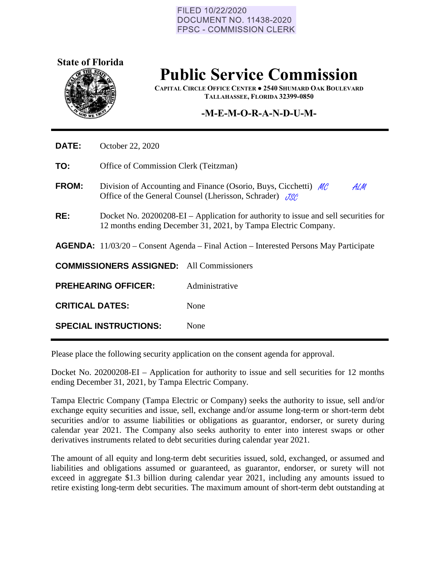## FILED 10/22/2020 **DOCUMENT NO. 11438-2020 FPSC - COMMISSION CLERK**



## **Public Service Commission**

**CAPITAL CIRCLE OFFICE CENTER ● 2540 SHUMARD OAK BOULEVARD TALLAHASSEE, FLORIDA 32399-0850**

## **-M-E-M-O-R-A-N-D-U-M-**

| <b>DATE:</b>           | October 22, 2020                                                                                                                                      |                |
|------------------------|-------------------------------------------------------------------------------------------------------------------------------------------------------|----------------|
| TO:                    | Office of Commission Clerk (Teitzman)                                                                                                                 |                |
| <b>FROM:</b>           | Division of Accounting and Finance (Osorio, Buys, Cicchetti) $M\ell$<br>ALM<br>Office of the General Counsel (Lherisson, Schrader) JSC                |                |
| RE:                    | Docket No. 20200208-EI – Application for authority to issue and sell securities for<br>12 months ending December 31, 2021, by Tampa Electric Company. |                |
|                        | <b>AGENDA:</b> $11/03/20$ – Consent Agenda – Final Action – Interested Persons May Participate                                                        |                |
|                        | <b>COMMISSIONERS ASSIGNED:</b> All Commissioners                                                                                                      |                |
|                        | <b>PREHEARING OFFICER:</b>                                                                                                                            | Administrative |
| <b>CRITICAL DATES:</b> |                                                                                                                                                       | None           |
|                        | <b>SPECIAL INSTRUCTIONS:</b>                                                                                                                          | None           |

Please place the following security application on the consent agenda for approval.

Docket No. 20200208-EI – Application for authority to issue and sell securities for 12 months ending December 31, 2021, by Tampa Electric Company.

Tampa Electric Company (Tampa Electric or Company) seeks the authority to issue, sell and/or exchange equity securities and issue, sell, exchange and/or assume long-term or short-term debt securities and/or to assume liabilities or obligations as guarantor, endorser, or surety during calendar year 2021. The Company also seeks authority to enter into interest swaps or other derivatives instruments related to debt securities during calendar year 2021.

The amount of all equity and long-term debt securities issued, sold, exchanged, or assumed and liabilities and obligations assumed or guaranteed, as guarantor, endorser, or surety will not exceed in aggregate \$1.3 billion during calendar year 2021, including any amounts issued to retire existing long-term debt securities. The maximum amount of short-term debt outstanding at